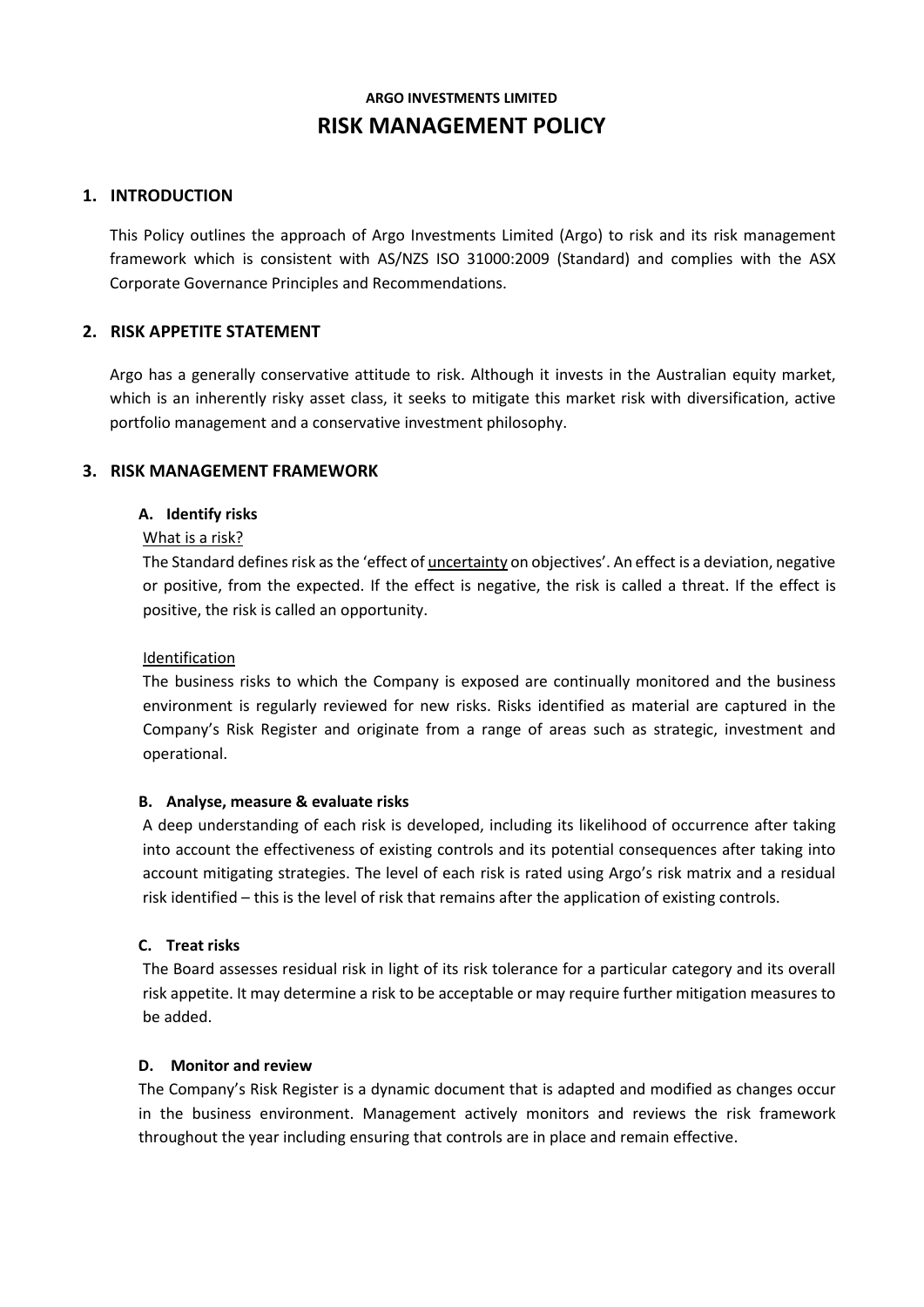# **ARGO INVESTMENTS LIMITED RISK MANAGEMENT POLICY**

# **1. INTRODUCTION**

This Policy outlines the approach of Argo Investments Limited (Argo) to risk and its risk management framework which is consistent with AS/NZS ISO 31000:2009 (Standard) and complies with the ASX Corporate Governance Principles and Recommendations.

# **2. RISK APPETITE STATEMENT**

Argo has a generally conservative attitude to risk. Although it invests in the Australian equity market, which is an inherently risky asset class, it seeks to mitigate this market risk with diversification, active portfolio management and a conservative investment philosophy.

# **3. RISK MANAGEMENT FRAMEWORK**

## **A. Identify risks**

# What is a risk?

The Standard defines risk as the 'effect of *uncertainty* on objectives'. An effect is a deviation, negative or positive, from the expected. If the effect is negative, the risk is called a threat. If the effect is positive, the risk is called an opportunity.

#### Identification

The business risks to which the Company is exposed are continually monitored and the business environment is regularly reviewed for new risks. Risks identified as material are captured in the Company's Risk Register and originate from a range of areas such as strategic, investment and operational.

# **B. Analyse, measure & evaluate risks**

A deep understanding of each risk is developed, including its likelihood of occurrence after taking into account the effectiveness of existing controls and its potential consequences after taking into account mitigating strategies. The level of each risk is rated using Argo's risk matrix and a residual risk identified – this is the level of risk that remains after the application of existing controls.

#### **C. Treat risks**

The Board assesses residual risk in light of its risk tolerance for a particular category and its overall risk appetite. It may determine a risk to be acceptable or may require further mitigation measures to be added.

#### **D. Monitor and review**

The Company's Risk Register is a dynamic document that is adapted and modified as changes occur in the business environment. Management actively monitors and reviews the risk framework throughout the year including ensuring that controls are in place and remain effective.